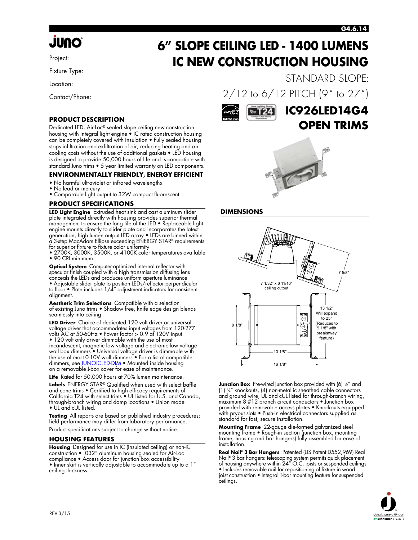### **G4.6.14**

# *<u>JUNO</u>*

Project:

Fixture Type:

Location:

Contact/Phone:

### **PRODUCT DESCRIPTION**

Dedicated LED, Air-Loc® sealed slope ceiling new construction housing with integral light engine • IC rated construction housing can be completely covered with insulation • Fully sealed housing stops infiltration and exfiltration of air, reducing heating and air cooling costs without the use of additional gaskets • LED housing is designed to provide 50,000 hours of life and is compatible with standard Juno trims • 5 year limited warranty on LED components.

### **ENVIRONMENTALLY FRIENDLY, ENERGY EFFICIENT**

- No harmful ultraviolet or infrared wavelengths
- No lead or mercury
- Comparable light output to 32W compact fluorescent

### **PRODUCT SPECIFICATIONS**

**LED Light Engine** Extruded heat sink and cast aluminum slider plate integrated directly with housing provides superior thermal management to ensure the long life of the LED • Replaceable light engine mounts directly to slider plate and incorporates the latest generation, high lumen output LED array • LEDs are binned within a 3-step MacAdam Ellipse exceeding ENERGY STAR® requirements for superior fixture to fixture color uniformity

• 2700K, 3000K, 3500K, or 4100K color temperatures available • 90 CRI minimum.

**Optical System** Computer-optimized internal reflector with specular finish coupled with a high transmission diffusing lens conceals the LEDs and produces uniform aperture luminance • Adjustable slider plate to position LEDs/reflector perpendicular to floor • Plate includes 1/4" adjustment indicators for consistent alignment.

**Aesthetic Trim Selections** Compatible with a selection of existing Juno trims • Shadow free, knife edge design blends seamlessly into ceiling.

**LED Driver** Choice of dedicated 120 volt driver or universal voltage driver that accommodates input voltages from 120-277 volts AC at 50-60Hz • Power factor > 0.9 at 120V input • 120 volt only driver dimmable with the use of most incandescent, magnetic low voltage and electronic low voltage wall box dimmers • Universal voltage driver is dimmable with the use of most 0-10V wall dimmers • For a list of compatible dimmers, se[e JUNOICLED-DIM](http://www.junolightinggroup.com/spec/junoicled-dim.pdf) • Mounted inside housing on a removable J-box cover for ease of maintenance.

**Life** Rated for 50,000 hours at 70% lumen maintenance.

**Labels** ENERGY STAR® Qualified when used with select baffle and cone trims • Certified to high efficacy requirements of California T24 with select trims • UL listed for U.S. and Canada, through-branch wiring and damp locations • Union made • UL and cUL listed.

**Testing** All reports are based on published industry procedures; field performance may differ from laboratory performance.

Product specifications subject to change without notice.

### **HOUSING FEATURES**

**Housing** Designed for use in IC (insulated ceiling) or non-IC construction • .032" aluminum housing sealed for Air-Loc compliance • Access door for junction box accessibility • Inner skirt is vertically adjustable to accommodate up to a 1" ceiling thickness.

**6" SLOPE CEILING LED - 1400 LUMENS IC NEW CONSTRUCTION HOUSING** STANDARD SLOPE:

2/12 to 6/12 PITCH (9˚ to 27˚)



### **IC926LED14G4 OPEN TRIMS**



### **DIMENSIONS**



**Junction Box** Pre-wired junction box provided with (6) ½" and (1) 3 ⁄4" knockouts, (4) non-metallic sheathed cable connectors and ground wire, UL and cUL listed for through-branch wiring, maximum 8 #12 branch circuit conductors • Junction box provided with removable access plates • Knockouts equipped with pryout slots • Push-in electrical connectors supplied as standard for fast, secure installation.

**Mounting Frame** 22-gauge die-formed galvanized steel mounting frame • Rough-in section (junction box, mounting frame, housing and bar hangers) fully assembled for ease of installation.

**Real Nail® 3 Bar Hangers** Patented (US Patent D552,969) Real Nail**®** 3 bar hangers: telescoping system permits quick placement of housing anywhere within 24" O.C. joists or suspended ceilings • Includes removable nail for repositioning of fixture in wood joist construction • Integral T-bar mounting feature for suspended ceilings.